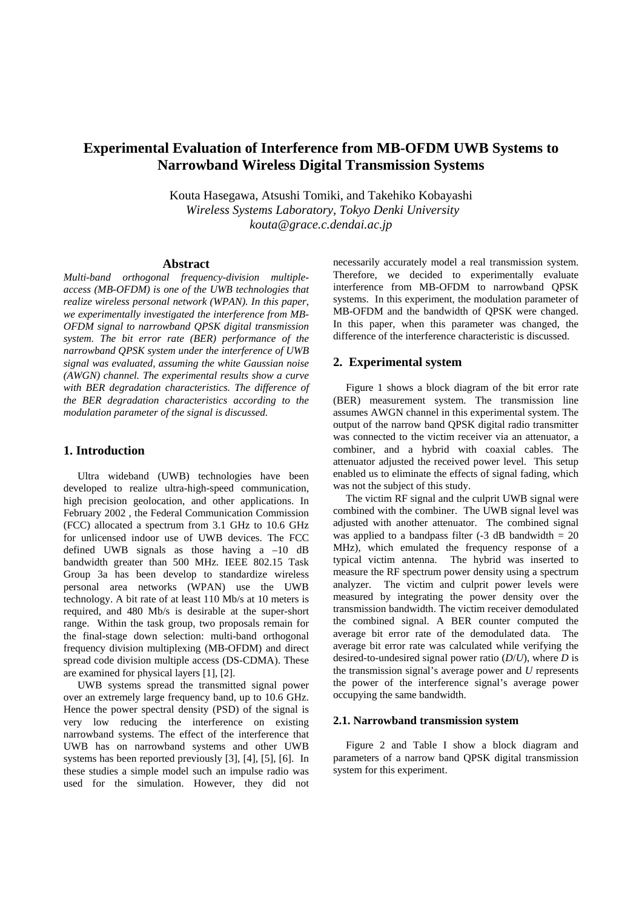# **Experimental Evaluation of Interference from MB-OFDM UWB Systems to Narrowband Wireless Digital Transmission Systems**

Kouta Hasegawa, Atsushi Tomiki, and Takehiko Kobayashi  *Wireless Systems Laboratory, Tokyo Denki University kouta@grace.c.dendai.ac.jp*

### **Abstract**

*Multi-band orthogonal frequency-division multipleaccess (MB-OFDM) is one of the UWB technologies that realize wireless personal network (WPAN). In this paper, we experimentally investigated the interference from MB-OFDM signal to narrowband QPSK digital transmission system. The bit error rate (BER) performance of the narrowband QPSK system under the interference of UWB signal was evaluated, assuming the white Gaussian noise (AWGN) channel. The experimental results show a curve with BER degradation characteristics. The difference of the BER degradation characteristics according to the modulation parameter of the signal is discussed.* 

### **1. Introduction**

Ultra wideband (UWB) technologies have been developed to realize ultra-high-speed communication, high precision geolocation, and other applications. In February 2002 , the Federal Communication Commission (FCC) allocated a spectrum from 3.1 GHz to 10.6 GHz for unlicensed indoor use of UWB devices. The FCC defined UWB signals as those having  $a -10$  dB bandwidth greater than 500 MHz. IEEE 802.15 Task Group 3a has been develop to standardize wireless personal area networks (WPAN) use the UWB technology. A bit rate of at least 110 Mb/s at 10 meters is required, and 480 Mb/s is desirable at the super-short range. Within the task group, two proposals remain for the final-stage down selection: multi-band orthogonal frequency division multiplexing (MB-OFDM) and direct spread code division multiple access (DS-CDMA). These are examined for physical layers [1], [2].

UWB systems spread the transmitted signal power over an extremely large frequency band, up to 10.6 GHz. Hence the power spectral density (PSD) of the signal is very low reducing the interference on existing narrowband systems. The effect of the interference that UWB has on narrowband systems and other UWB systems has been reported previously [3], [4], [5], [6]. In these studies a simple model such an impulse radio was used for the simulation. However, they did not necessarily accurately model a real transmission system. Therefore, we decided to experimentally evaluate interference from MB-OFDM to narrowband QPSK systems. In this experiment, the modulation parameter of MB-OFDM and the bandwidth of QPSK were changed. In this paper, when this parameter was changed, the difference of the interference characteristic is discussed.

### **2. Experimental system**

Figure 1 shows a block diagram of the bit error rate (BER) measurement system. The transmission line assumes AWGN channel in this experimental system. The output of the narrow band QPSK digital radio transmitter was connected to the victim receiver via an attenuator, a combiner, and a hybrid with coaxial cables. The attenuator adjusted the received power level. This setup enabled us to eliminate the effects of signal fading, which was not the subject of this study.

The victim RF signal and the culprit UWB signal were combined with the combiner. The UWB signal level was adjusted with another attenuator. The combined signal was applied to a bandpass filter  $(-3 \text{ dB}$  bandwidth = 20 MHz), which emulated the frequency response of a typical victim antenna. The hybrid was inserted to measure the RF spectrum power density using a spectrum analyzer. The victim and culprit power levels were measured by integrating the power density over the transmission bandwidth. The victim receiver demodulated the combined signal. A BER counter computed the average bit error rate of the demodulated data. The average bit error rate was calculated while verifying the desired-to-undesired signal power ratio (*D*/*U*), where *D* is the transmission signal's average power and *U* represents the power of the interference signal's average power occupying the same bandwidth.

### **2.1. Narrowband transmission system**

Figure 2 and Table I show a block diagram and parameters of a narrow band QPSK digital transmission system for this experiment.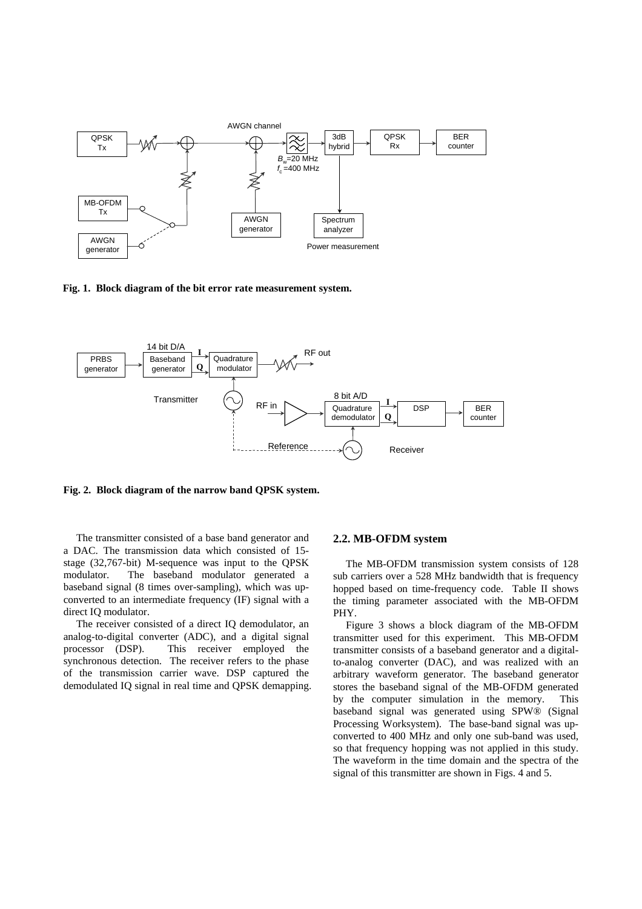

**Fig. 1. Block diagram of the bit error rate measurement system.**



**Fig. 2. Block diagram of the narrow band QPSK system.**

The transmitter consisted of a base band generator and a DAC. The transmission data which consisted of 15 stage (32,767-bit) M-sequence was input to the QPSK modulator. The baseband modulator generated a baseband signal (8 times over-sampling), which was upconverted to an intermediate frequency (IF) signal with a direct IQ modulator.

The receiver consisted of a direct IQ demodulator, an analog-to-digital converter (ADC), and a digital signal processor (DSP). This receiver employed the synchronous detection. The receiver refers to the phase of the transmission carrier wave. DSP captured the demodulated IQ signal in real time and QPSK demapping.

### **2.2. MB-OFDM system**

The MB-OFDM transmission system consists of 128 sub carriers over a 528 MHz bandwidth that is frequency hopped based on time-frequency code. Table II shows the timing parameter associated with the MB-OFDM PHY.

Figure 3 shows a block diagram of the MB-OFDM transmitter used for this experiment. This MB-OFDM transmitter consists of a baseband generator and a digitalto-analog converter (DAC), and was realized with an arbitrary waveform generator. The baseband generator stores the baseband signal of the MB-OFDM generated by the computer simulation in the memory. This baseband signal was generated using SPW® (Signal Processing Worksystem). The base-band signal was upconverted to 400 MHz and only one sub-band was used, so that frequency hopping was not applied in this study. The waveform in the time domain and the spectra of the signal of this transmitter are shown in Figs. 4 and 5.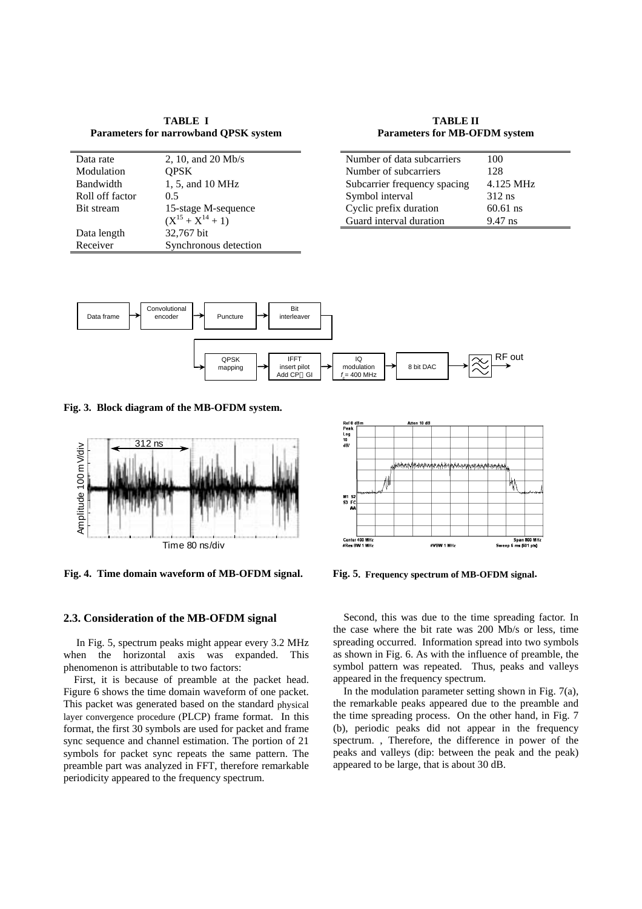**TABLE I Parameters for narrowband QPSK system** 

| Data rate       | 2, 10, and 20 Mb/s      |
|-----------------|-------------------------|
| Modulation      | <b>OPSK</b>             |
| Bandwidth       | 1, 5, and 10 MHz        |
| Roll off factor | 0.5                     |
| Bit stream      | 15-stage M-sequence     |
|                 | $(X^{15} + X^{14} + 1)$ |
| Data length     | 32,767 bit              |
| Receiver        | Synchronous detection   |
|                 |                         |

**TABLE II Parameters for MB-OFDM system** 

| Number of data subcarriers   | 100        |
|------------------------------|------------|
| Number of subcarriers        | 128        |
| Subcarrier frequency spacing | 4.125 MHz  |
| Symbol interval              | $312$ ns   |
| Cyclic prefix duration       | $60.61$ ns |
| Guard interval duration      | $9.47$ ns  |



**Fig. 3. Block diagram of the MB-OFDM system.**



**Fig. 4. Time domain waveform of MB-OFDM signal.**

#### **2.3. Consideration of the MB-OFDM signal**

In Fig. 5, spectrum peaks might appear every 3.2 MHz when the horizontal axis was expanded. This phenomenon is attributable to two factors:

First, it is because of preamble at the packet head. Figure 6 shows the time domain waveform of one packet. This packet was generated based on the standard physical layer convergence procedure (PLCP) frame format. In this format, the first 30 symbols are used for packet and frame sync sequence and channel estimation. The portion of 21 symbols for packet sync repeats the same pattern. The preamble part was analyzed in FFT, therefore remarkable periodicity appeared to the frequency spectrum.



**Fig. 5. Frequency spectrum of MB-OFDM signal.**

Second, this was due to the time spreading factor. In the case where the bit rate was 200 Mb/s or less, time spreading occurred. Information spread into two symbols as shown in Fig. 6. As with the influence of preamble, the symbol pattern was repeated. Thus, peaks and valleys appeared in the frequency spectrum.

In the modulation parameter setting shown in Fig.  $7(a)$ , the remarkable peaks appeared due to the preamble and the time spreading process. On the other hand, in Fig. 7 (b), periodic peaks did not appear in the frequency spectrum. , Therefore, the difference in power of the peaks and valleys (dip: between the peak and the peak) appeared to be large, that is about 30 dB.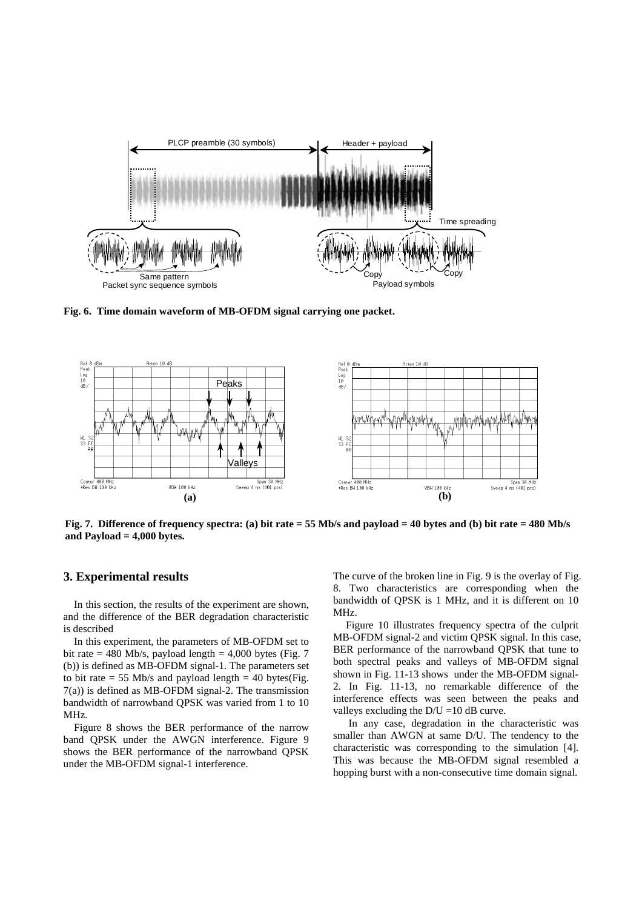

**Fig. 6. Time domain waveform of MB-OFDM signal carrying one packet.**



**Fig. 7. Difference of frequency spectra: (a) bit rate = 55 Mb/s and payload = 40 bytes and (b) bit rate = 480 Mb/s and Payload = 4,000 bytes.** 

## **3. Experimental results**

In this section, the results of the experiment are shown, and the difference of the BER degradation characteristic is described

In this experiment, the parameters of MB-OFDM set to bit rate  $= 480$  Mb/s, payload length  $= 4,000$  bytes (Fig. 7) (b)) is defined as MB-OFDM signal-1. The parameters set to bit rate = 55 Mb/s and payload length = 40 bytes(Fig. 7(a)) is defined as MB-OFDM signal-2. The transmission bandwidth of narrowband QPSK was varied from 1 to 10 MHz.

Figure 8 shows the BER performance of the narrow band QPSK under the AWGN interference. Figure 9 shows the BER performance of the narrowband QPSK under the MB-OFDM signal-1 interference.

The curve of the broken line in Fig. 9 is the overlay of Fig. 8. Two characteristics are corresponding when the bandwidth of QPSK is 1 MHz, and it is different on 10 MHz.

Figure 10 illustrates frequency spectra of the culprit MB-OFDM signal-2 and victim QPSK signal. In this case, BER performance of the narrowband QPSK that tune to both spectral peaks and valleys of MB-OFDM signal shown in Fig. 11-13 shows under the MB-OFDM signal-2. In Fig. 11-13, no remarkable difference of the interference effects was seen between the peaks and valleys excluding the  $D/U = 10$  dB curve.

 In any case, degradation in the characteristic was smaller than AWGN at same D/U. The tendency to the characteristic was corresponding to the simulation [4]. This was because the MB-OFDM signal resembled a hopping burst with a non-consecutive time domain signal.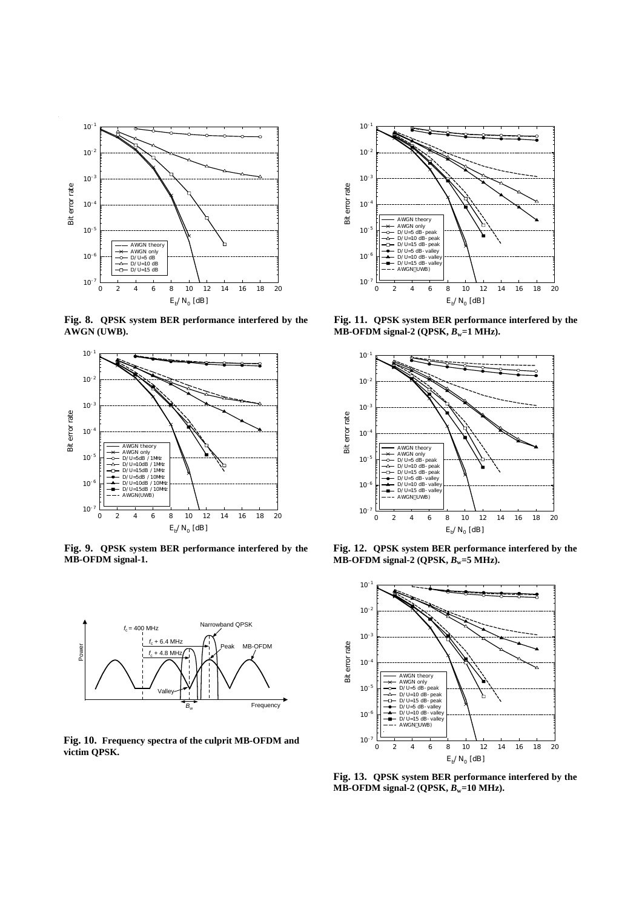

**Fig. 8. QPSK system BER performance interfered by the AWGN (UWB).**



**Fig. 9. QPSK system BER performance interfered by the MB-OFDM signal-1.**



**Fig. 10. Frequency spectra of the culprit MB-OFDM and victim QPSK.**



**Fig. 11. QPSK system BER performance interfered by the MB-OFDM signal-2 (QPSK,**  $B_w=1$  **MHz).** 



**Fig. 12. QPSK system BER performance interfered by the MB-OFDM signal-2 (QPSK,**  $B_w = 5$  **MHz).** 



**Fig. 13. QPSK system BER performance interfered by the**   $MB-OFDM$  signal-2 ( $QPSK, B_w=10$  MHz).